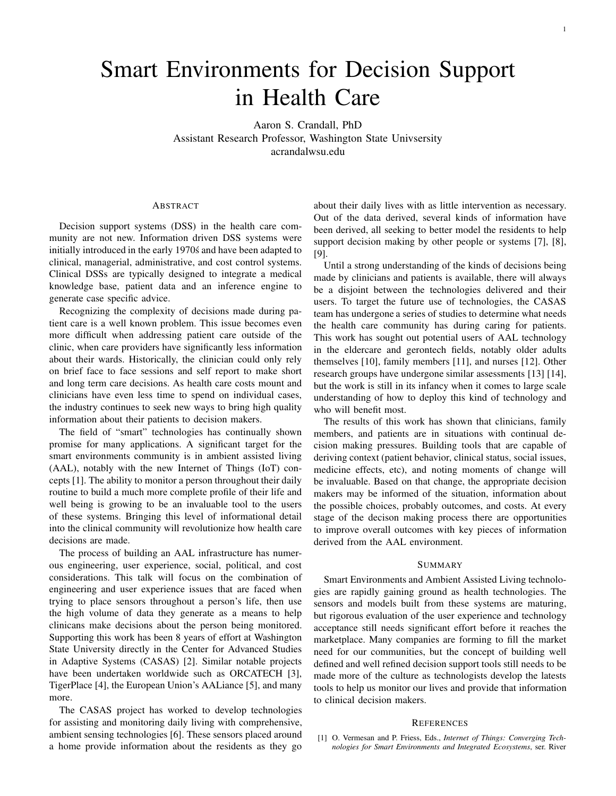## Smart Environments for Decision Support in Health Care

Aaron S. Crandall, PhD Assistant Research Professor, Washington State Univsersity acrandalwsu.edu

## ABSTRACT

Decision support systems (DSS) in the health care community are not new. Information driven DSS systems were initially introduced in the early 1970's and have been adapted to clinical, managerial, administrative, and cost control systems. Clinical DSSs are typically designed to integrate a medical knowledge base, patient data and an inference engine to generate case specific advice.

Recognizing the complexity of decisions made during patient care is a well known problem. This issue becomes even more difficult when addressing patient care outside of the clinic, when care providers have significantly less information about their wards. Historically, the clinician could only rely on brief face to face sessions and self report to make short and long term care decisions. As health care costs mount and clinicians have even less time to spend on individual cases, the industry continues to seek new ways to bring high quality information about their patients to decision makers.

The field of "smart" technologies has continually shown promise for many applications. A significant target for the smart environments community is in ambient assisted living (AAL), notably with the new Internet of Things (IoT) concepts [1]. The ability to monitor a person throughout their daily routine to build a much more complete profile of their life and well being is growing to be an invaluable tool to the users of these systems. Bringing this level of informational detail into the clinical community will revolutionize how health care decisions are made.

The process of building an AAL infrastructure has numerous engineering, user experience, social, political, and cost considerations. This talk will focus on the combination of engineering and user experience issues that are faced when trying to place sensors throughout a person's life, then use the high volume of data they generate as a means to help clinicans make decisions about the person being monitored. Supporting this work has been 8 years of effort at Washington State University directly in the Center for Advanced Studies in Adaptive Systems (CASAS) [2]. Similar notable projects have been undertaken worldwide such as ORCATECH [3], TigerPlace [4], the European Union's AALiance [5], and many more.

The CASAS project has worked to develop technologies for assisting and monitoring daily living with comprehensive, ambient sensing technologies [6]. These sensors placed around a home provide information about the residents as they go about their daily lives with as little intervention as necessary. Out of the data derived, several kinds of information have been derived, all seeking to better model the residents to help support decision making by other people or systems [7], [8], [9].

Until a strong understanding of the kinds of decisions being made by clinicians and patients is available, there will always be a disjoint between the technologies delivered and their users. To target the future use of technologies, the CASAS team has undergone a series of studies to determine what needs the health care community has during caring for patients. This work has sought out potential users of AAL technology in the eldercare and gerontech fields, notably older adults themselves [10], family members [11], and nurses [12]. Other research groups have undergone similar assessments [13] [14], but the work is still in its infancy when it comes to large scale understanding of how to deploy this kind of technology and who will benefit most.

The results of this work has shown that clinicians, family members, and patients are in situations with continual decision making pressures. Building tools that are capable of deriving context (patient behavior, clinical status, social issues, medicine effects, etc), and noting moments of change will be invaluable. Based on that change, the appropriate decision makers may be informed of the situation, information about the possible choices, probably outcomes, and costs. At every stage of the decison making process there are opportunities to improve overall outcomes with key pieces of information derived from the AAL environment.

## SUMMARY

Smart Environments and Ambient Assisted Living technologies are rapidly gaining ground as health technologies. The sensors and models built from these systems are maturing, but rigorous evaluation of the user experience and technology acceptance still needs significant effort before it reaches the marketplace. Many companies are forming to fill the market need for our communities, but the concept of building well defined and well refined decision support tools still needs to be made more of the culture as technologists develop the latests tools to help us monitor our lives and provide that information to clinical decision makers.

## **REFERENCES**

[1] O. Vermesan and P. Friess, Eds., *Internet of Things: Converging Technologies for Smart Environments and Integrated Ecosystems*, ser. River